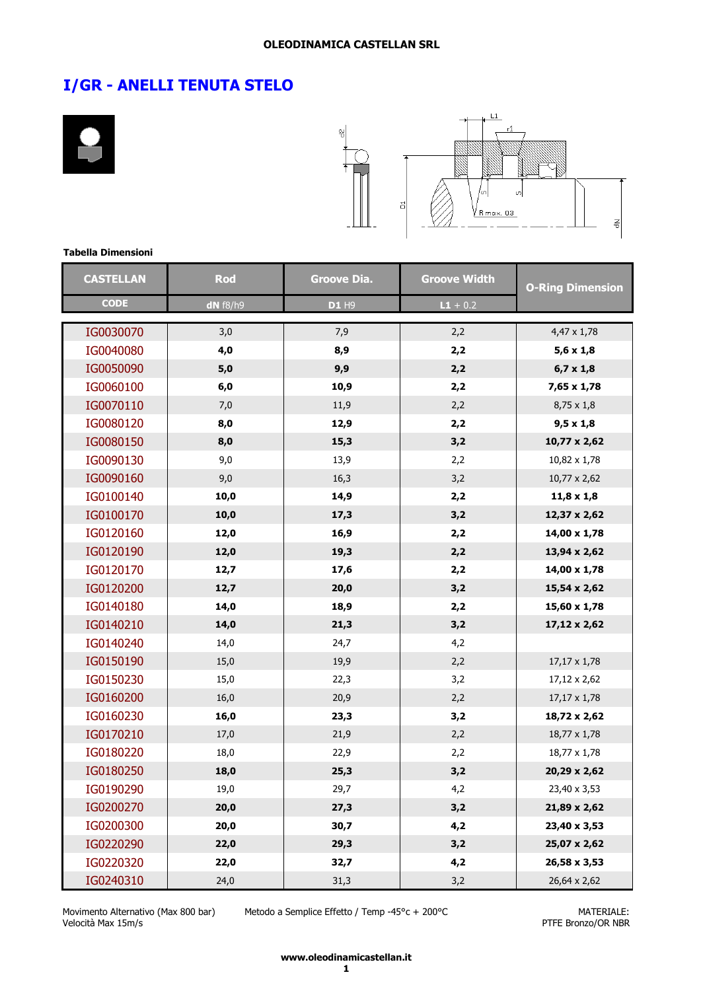



#### **Tabella Dimensioni**

| <b>CASTELLAN</b> | <b>Rod</b> | <b>Groove Dia.</b> | <b>Groove Width</b> | <b>O-Ring Dimension</b> |
|------------------|------------|--------------------|---------------------|-------------------------|
| <b>CODE</b>      | $dN$ f8/h9 | D1 H9              | $L1 + 0.2$          |                         |
| IG0030070        | 3,0        | 7,9                | 2,2                 | 4,47 x 1,78             |
| IG0040080        | 4,0        | 8,9                | 2,2                 | $5,6 \times 1,8$        |
| IG0050090        | $5,0$      | 9,9                | 2,2                 | $6,7 \times 1,8$        |
| IG0060100        | 6,0        | 10,9               | 2,2                 | 7,65 x 1,78             |
| IG0070110        | 7,0        | 11,9               | 2,2                 | $8,75 \times 1,8$       |
| IG0080120        | 8,0        | 12,9               | 2,2                 | $9,5 \times 1,8$        |
| IG0080150        | 8,0        | 15,3               | 3,2                 | $10,77 \times 2,62$     |
| IG0090130        | 9,0        | 13,9               | 2,2                 | 10,82 x 1,78            |
| IG0090160        | 9,0        | 16,3               | 3,2                 | 10,77 x 2,62            |
| IG0100140        | 10,0       | 14,9               | 2,2                 | $11,8 \times 1,8$       |
| IG0100170        | 10,0       | 17,3               | 3,2                 | $12,37 \times 2,62$     |
| IG0120160        | 12,0       | 16,9               | 2,2                 | $14,00 \times 1,78$     |
| IG0120190        | 12,0       | 19,3               | 2,2                 | 13,94 x 2,62            |
| IG0120170        | 12,7       | 17,6               | 2,2                 | $14,00 \times 1,78$     |
| IG0120200        | 12,7       | 20,0               | 3,2                 | $15,54 \times 2,62$     |
| IG0140180        | 14,0       | 18,9               | 2,2                 | $15,60 \times 1,78$     |
| IG0140210        | 14,0       | 21,3               | 3,2                 | $17,12 \times 2,62$     |
| IG0140240        | 14,0       | 24,7               | 4,2                 |                         |
| IG0150190        | 15,0       | 19,9               | 2,2                 | $17,17 \times 1,78$     |
| IG0150230        | 15,0       | 22,3               | 3,2                 | 17,12 x 2,62            |
| IG0160200        | 16,0       | 20,9               | 2,2                 | 17,17 x 1,78            |
| IG0160230        | 16,0       | 23,3               | 3,2                 | 18,72 x 2,62            |
| IG0170210        | 17,0       | 21,9               | 2,2                 | 18,77 x 1,78            |
| IG0180220        | 18,0       | 22,9               | 2,2                 | 18,77 x 1,78            |
| IG0180250        | 18,0       | 25,3               | 3,2                 | 20,29 x 2,62            |
| IG0190290        | 19,0       | 29,7               | 4,2                 | 23,40 x 3,53            |
| IG0200270        | 20,0       | 27,3               | 3,2                 | 21,89 x 2,62            |
| IG0200300        | 20,0       | 30,7               | 4,2                 | 23,40 x 3,53            |
| IG0220290        | 22,0       | 29,3               | 3,2                 | 25,07 x 2,62            |
| IG0220320        | 22,0       | 32,7               | 4,2                 | 26,58 x 3,53            |
| IG0240310        | 24,0       | 31,3               | 3,2                 | 26,64 x 2,62            |

Movimento Alternativo (Max 800 bar) Velocità Max 15m/s

Metodo a Semplice Effetto / Temp -45°c + 200°C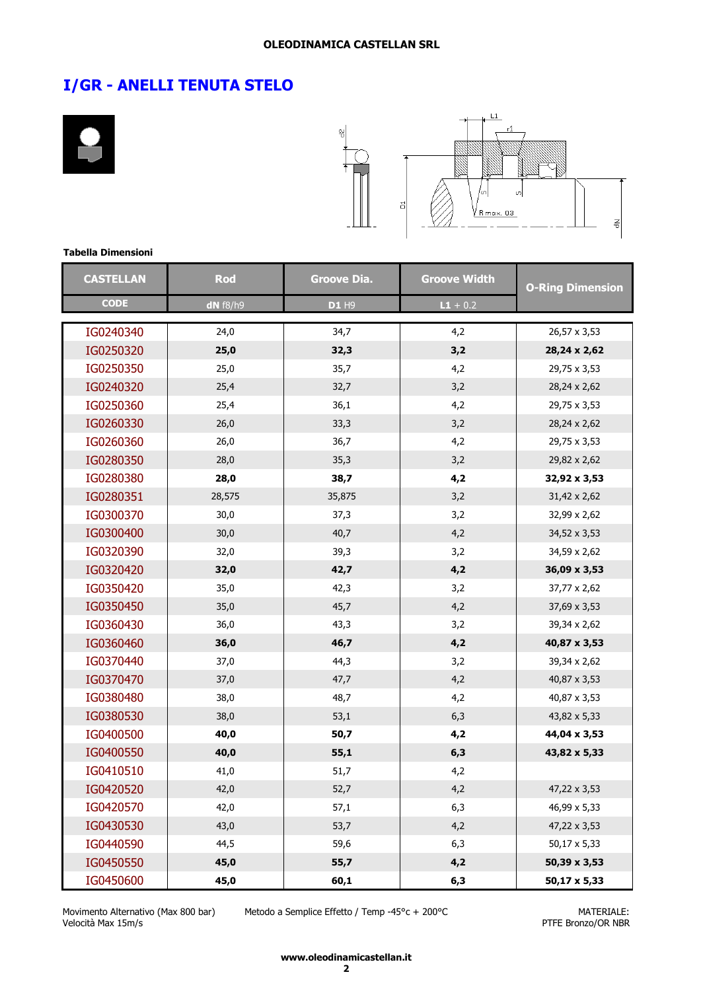



#### **Tabella Dimensioni**

| <b>CASTELLAN</b> | Rod        | <b>Groove Dia.</b> | <b>Groove Width</b> | <b>O-Ring Dimension</b> |
|------------------|------------|--------------------|---------------------|-------------------------|
| <b>CODE</b>      | $dN$ f8/h9 | <b>D1 H9</b>       | $L1 + 0.2$          |                         |
| IG0240340        | 24,0       | 34,7               | 4,2                 | 26,57 x 3,53            |
| IG0250320        | 25,0       | 32,3               | 3,2                 | 28,24 x 2,62            |
| IG0250350        | 25,0       | 35,7               | 4,2                 | 29,75 x 3,53            |
| IG0240320        | 25,4       | 32,7               | 3,2                 | 28,24 x 2,62            |
| IG0250360        | 25,4       | 36,1               | 4,2                 | 29,75 x 3,53            |
| IG0260330        | 26,0       | 33,3               | 3,2                 | 28,24 x 2,62            |
| IG0260360        | 26,0       | 36,7               | 4,2                 | 29,75 x 3,53            |
| IG0280350        | 28,0       | 35,3               | 3,2                 | 29,82 x 2,62            |
| IG0280380        | 28,0       | 38,7               | 4,2                 | 32,92 x 3,53            |
| IG0280351        | 28,575     | 35,875             | 3,2                 | 31,42 x 2,62            |
| IG0300370        | 30,0       | 37,3               | 3,2                 | 32,99 x 2,62            |
| IG0300400        | 30,0       | 40,7               | 4,2                 | 34,52 x 3,53            |
| IG0320390        | 32,0       | 39,3               | 3,2                 | 34,59 x 2,62            |
| IG0320420        | 32,0       | 42,7               | 4,2                 | 36,09 x 3,53            |
| IG0350420        | 35,0       | 42,3               | 3,2                 | 37,77 x 2,62            |
| IG0350450        | 35,0       | 45,7               | 4,2                 | 37,69 x 3,53            |
| IG0360430        | 36,0       | 43,3               | 3,2                 | 39,34 x 2,62            |
| IG0360460        | 36,0       | 46,7               | 4,2                 | 40,87 x 3,53            |
| IG0370440        | 37,0       | 44,3               | 3,2                 | 39,34 x 2,62            |
| IG0370470        | 37,0       | 47,7               | 4,2                 | 40,87 x 3,53            |
| IG0380480        | 38,0       | 48,7               | 4,2                 | 40,87 x 3,53            |
| IG0380530        | 38,0       | 53,1               | 6,3                 | 43,82 x 5,33            |
| IG0400500        | 40,0       | 50,7               | 4,2                 | 44,04 x 3,53            |
| IG0400550        | 40,0       | 55,1               | 6,3                 | 43,82 x 5,33            |
| IG0410510        | 41,0       | 51,7               | 4,2                 |                         |
| IG0420520        | 42,0       | 52,7               | 4,2                 | 47,22 x 3,53            |
| IG0420570        | 42,0       | 57,1               | 6,3                 | 46,99 x 5,33            |
| IG0430530        | 43,0       | 53,7               | 4,2                 | 47,22 x 3,53            |
| IG0440590        | 44,5       | 59,6               | 6,3                 | 50,17 x 5,33            |
| IG0450550        | 45,0       | 55,7               | 4,2                 | 50,39 x 3,53            |
| IG0450600        | 45,0       | 60,1               | 6,3                 | 50,17 x 5,33            |

Movimento Alternativo (Max 800 bar) Velocità Max 15m/s

Metodo a Semplice Effetto / Temp -45°c + 200°C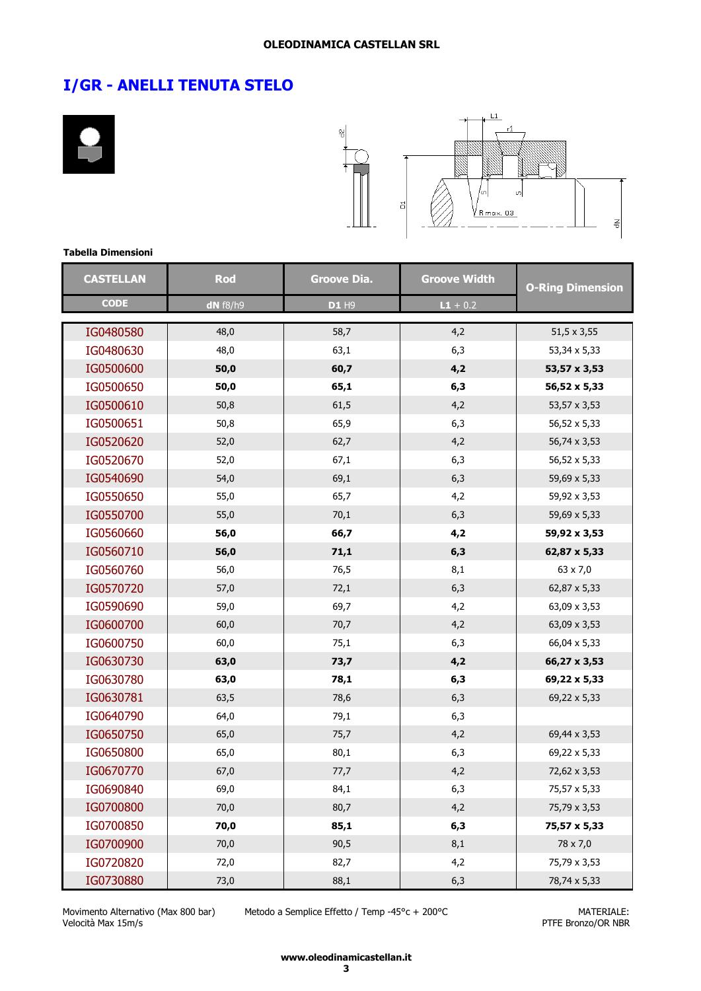



#### **Tabella Dimensioni**

| <b>CASTELLAN</b> | Rod        | <b>Groove Dia.</b> | <b>Groove Width</b> | <b>O-Ring Dimension</b> |
|------------------|------------|--------------------|---------------------|-------------------------|
| <b>CODE</b>      | $dN$ f8/h9 | D1 H9              | $L1 + 0.2$          |                         |
| IG0480580        | 48,0       | 58,7               | 4,2                 | $51,5 \times 3,55$      |
| IG0480630        | 48,0       | 63,1               | 6,3                 | 53,34 x 5,33            |
| IG0500600        | 50,0       | 60,7               | 4,2                 | 53,57 x 3,53            |
| IG0500650        | 50,0       | 65,1               | 6,3                 | 56,52 x 5,33            |
| IG0500610        | 50,8       | 61,5               | 4,2                 | 53,57 x 3,53            |
| IG0500651        | 50,8       | 65,9               | 6,3                 | 56,52 x 5,33            |
| IG0520620        | 52,0       | 62,7               | 4,2                 | 56,74 x 3,53            |
| IG0520670        | 52,0       | 67,1               | 6,3                 | 56,52 x 5,33            |
| IG0540690        | 54,0       | 69,1               | 6,3                 | 59,69 x 5,33            |
| IG0550650        | 55,0       | 65,7               | 4,2                 | 59,92 x 3,53            |
| IG0550700        | 55,0       | 70,1               | 6,3                 | 59,69 x 5,33            |
| IG0560660        | 56,0       | 66,7               | 4,2                 | 59,92 x 3,53            |
| IG0560710        | 56,0       | 71,1               | 6,3                 | 62,87 x 5,33            |
| IG0560760        | 56,0       | 76,5               | 8,1                 | 63 x 7,0                |
| IG0570720        | 57,0       | 72,1               | 6,3                 | 62,87 x 5,33            |
| IG0590690        | 59,0       | 69,7               | 4,2                 | 63,09 x 3,53            |
| IG0600700        | 60,0       | 70,7               | 4,2                 | 63,09 x 3,53            |
| IG0600750        | 60,0       | 75,1               | 6,3                 | 66,04 x 5,33            |
| IG0630730        | 63,0       | 73,7               | 4,2                 | 66,27 x 3,53            |
| IG0630780        | 63,0       | 78,1               | 6,3                 | 69,22 x 5,33            |
| IG0630781        | 63,5       | 78,6               | 6,3                 | 69,22 x 5,33            |
| IG0640790        | 64,0       | 79,1               | 6,3                 |                         |
| IG0650750        | 65,0       | 75,7               | 4,2                 | 69,44 x 3,53            |
| IG0650800        | 65,0       | 80,1               | 6,3                 | 69,22 x 5,33            |
| IG0670770        | 67,0       | 77,7               | 4,2                 | 72,62 x 3,53            |
| IG0690840        | 69,0       | 84,1               | 6,3                 | 75,57 x 5,33            |
| IG0700800        | 70,0       | 80,7               | 4,2                 | 75,79 x 3,53            |
| IG0700850        | 70,0       | 85,1               | 6,3                 | 75,57 x 5,33            |
| IG0700900        | 70,0       | 90,5               | 8,1                 | 78 x 7,0                |
| IG0720820        | 72,0       | 82,7               | 4,2                 | 75,79 x 3,53            |
| IG0730880        | 73,0       | 88,1               | 6,3                 | 78,74 x 5,33            |

Movimento Alternativo (Max 800 bar) Velocità Max 15m/s

Metodo a Semplice Effetto / Temp -45°c + 200°C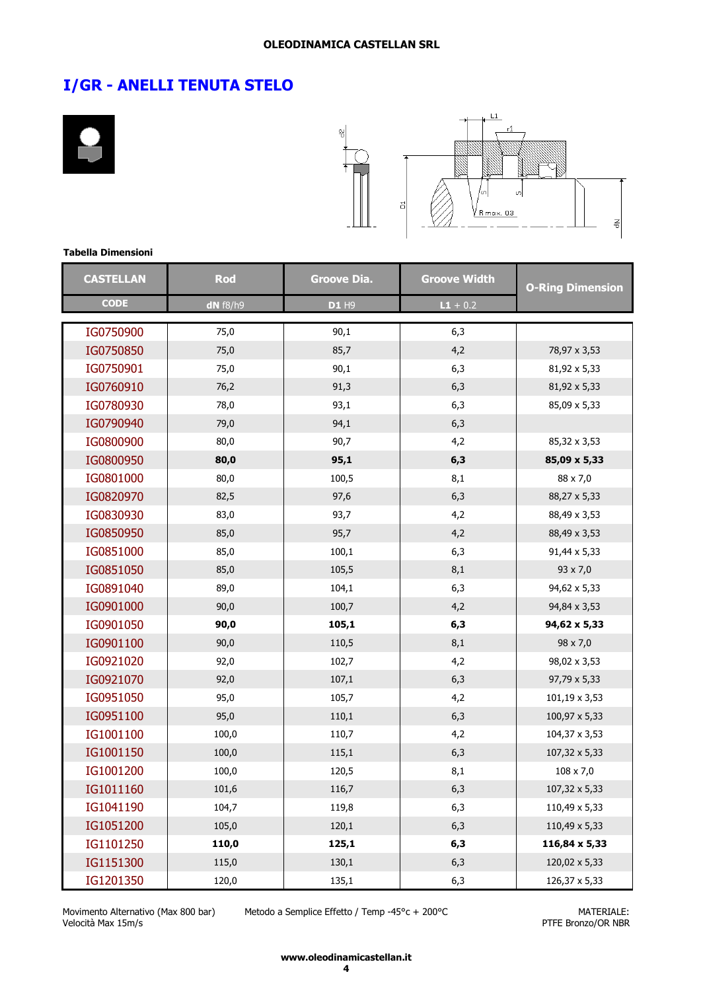



#### **Tabella Dimensioni**

| <b>CASTELLAN</b> | <b>Rod</b> | <b>Groove Dia.</b> | <b>Groove Width</b> | <b>O-Ring Dimension</b> |
|------------------|------------|--------------------|---------------------|-------------------------|
| <b>CODE</b>      | $dN$ f8/h9 | D1 H9              | $L1 + 0.2$          |                         |
| IG0750900        | 75,0       | 90,1               | 6,3                 |                         |
| IG0750850        | 75,0       | 85,7               | 4,2                 | 78,97 x 3,53            |
| IG0750901        | 75,0       | 90,1               | 6,3                 | 81,92 x 5,33            |
| IG0760910        | 76,2       | 91,3               | 6,3                 | 81,92 x 5,33            |
| IG0780930        | 78,0       | 93,1               | 6,3                 | 85,09 x 5,33            |
| IG0790940        | 79,0       | 94,1               | 6,3                 |                         |
| IG0800900        | 80,0       | 90,7               | 4,2                 | 85,32 x 3,53            |
| IG0800950        | 80,0       | 95,1               | 6,3                 | 85,09 x 5,33            |
| IG0801000        | 80,0       | 100,5              | 8,1                 | 88 x 7,0                |
| IG0820970        | 82,5       | 97,6               | 6,3                 | 88,27 x 5,33            |
| IG0830930        | 83,0       | 93,7               | 4,2                 | 88,49 x 3,53            |
| IG0850950        | 85,0       | 95,7               | 4,2                 | 88,49 x 3,53            |
| IG0851000        | 85,0       | 100,1              | 6,3                 | 91,44 x 5,33            |
| IG0851050        | 85,0       | 105,5              | 8,1                 | 93 x 7,0                |
| IG0891040        | 89,0       | 104,1              | 6,3                 | 94,62 x 5,33            |
| IG0901000        | 90,0       | 100,7              | 4,2                 | 94,84 x 3,53            |
| IG0901050        | 90,0       | 105,1              | 6,3                 | 94,62 x 5,33            |
| IG0901100        | 90,0       | 110,5              | 8,1                 | 98 x 7,0                |
| IG0921020        | 92,0       | 102,7              | 4,2                 | 98,02 x 3,53            |
| IG0921070        | 92,0       | 107,1              | 6,3                 | 97,79 x 5,33            |
| IG0951050        | 95,0       | 105,7              | 4,2                 | 101,19 x 3,53           |
| IG0951100        | 95,0       | 110,1              | 6,3                 | 100,97 x 5,33           |
| IG1001100        | 100,0      | 110,7              | 4,2                 | 104,37 x 3,53           |
| IG1001150        | 100,0      | 115,1              | 6,3                 | 107,32 x 5,33           |
| IG1001200        | 100,0      | 120,5              | 8,1                 | $108 \times 7,0$        |
| IG1011160        | 101,6      | 116,7              | 6,3                 | 107,32 x 5,33           |
| IG1041190        | 104,7      | 119,8              | 6,3                 | 110,49 x 5,33           |
| IG1051200        | 105,0      | 120,1              | 6,3                 | 110,49 x 5,33           |
| IG1101250        | 110,0      | 125,1              | 6,3                 | 116,84 x 5,33           |
| IG1151300        | 115,0      | 130,1              | 6,3                 | 120,02 x 5,33           |
| IG1201350        | 120,0      | 135,1              | 6,3                 | 126,37 x 5,33           |

Movimento Alternativo (Max 800 bar) Velocità Max 15m/s

Metodo a Semplice Effetto / Temp -45°c + 200°C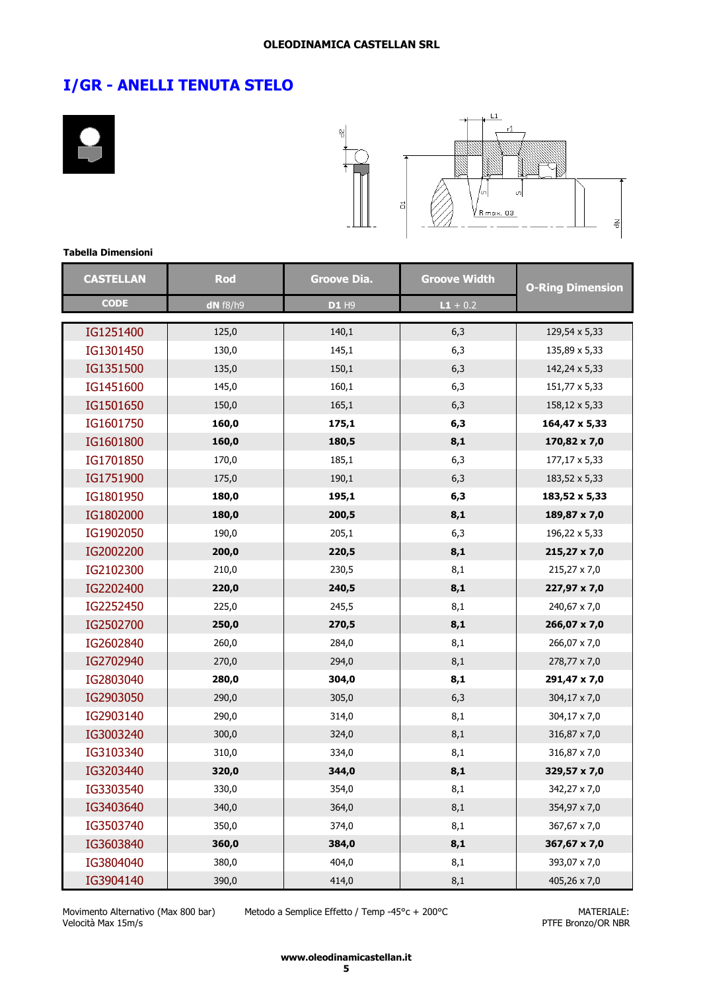



#### **Tabella Dimensioni**

| <b>CASTELLAN</b> | Rod      | <b>Groove Dia.</b> | <b>Groove Width</b> | <b>O-Ring Dimension</b> |
|------------------|----------|--------------------|---------------------|-------------------------|
| <b>CODE</b>      | dN f8/h9 | D1 H9              | $L1 + 0.2$          |                         |
| IG1251400        | 125,0    | 140,1              | 6,3                 | 129,54 x 5,33           |
| IG1301450        | 130,0    | 145,1              | 6,3                 | 135,89 x 5,33           |
| IG1351500        | 135,0    | 150,1              | 6,3                 | 142,24 x 5,33           |
| IG1451600        | 145,0    | 160,1              | 6,3                 | 151,77 x 5,33           |
| IG1501650        | 150,0    | 165,1              | 6,3                 | 158,12 x 5,33           |
| IG1601750        | 160,0    | 175,1              | 6,3                 | 164,47 x 5,33           |
| IG1601800        | 160,0    | 180,5              | 8,1                 | 170,82 x 7,0            |
| IG1701850        | 170,0    | 185,1              | 6,3                 | 177,17 x 5,33           |
| IG1751900        | 175,0    | 190,1              | 6,3                 | 183,52 x 5,33           |
| IG1801950        | 180,0    | 195,1              | 6,3                 | 183,52 x 5,33           |
| IG1802000        | 180,0    | 200,5              | 8,1                 | 189,87 x 7,0            |
| IG1902050        | 190,0    | 205,1              | 6,3                 | 196,22 x 5,33           |
| IG2002200        | 200,0    | 220,5              | 8,1                 | 215,27 x 7,0            |
| IG2102300        | 210,0    | 230,5              | 8,1                 | 215,27 x 7,0            |
| IG2202400        | 220,0    | 240,5              | 8,1                 | 227,97 x 7,0            |
| IG2252450        | 225,0    | 245,5              | 8,1                 | 240,67 x 7,0            |
| IG2502700        | 250,0    | 270,5              | 8,1                 | 266,07 x 7,0            |
| IG2602840        | 260,0    | 284,0              | 8,1                 | 266,07 x 7,0            |
| IG2702940        | 270,0    | 294,0              | 8,1                 | 278,77 x 7,0            |
| IG2803040        | 280,0    | 304,0              | 8,1                 | 291,47 x 7,0            |
| IG2903050        | 290,0    | 305,0              | 6,3                 | 304,17 x 7,0            |
| IG2903140        | 290,0    | 314,0              | 8,1                 | 304,17 x 7,0            |
| IG3003240        | 300,0    | 324,0              | 8,1                 | 316,87 x 7,0            |
| IG3103340        | 310,0    | 334,0              | 8,1                 | 316,87 x 7,0            |
| IG3203440        | 320,0    | 344,0              | 8,1                 | 329,57 x 7,0            |
| IG3303540        | 330,0    | 354,0              | 8,1                 | 342,27 x 7,0            |
| IG3403640        | 340,0    | 364,0              | 8,1                 | 354,97 x 7,0            |
| IG3503740        | 350,0    | 374,0              | 8,1                 | 367,67 x 7,0            |
| IG3603840        | 360,0    | 384,0              | 8,1                 | 367,67 x 7,0            |
| IG3804040        | 380,0    | 404,0              | 8,1                 | 393,07 x 7,0            |
| IG3904140        | 390,0    | 414,0              | 8,1                 | 405,26 x 7,0            |

Movimento Alternativo (Max 800 bar) Velocità Max 15m/s

Metodo a Semplice Effetto / Temp -45°c + 200°C